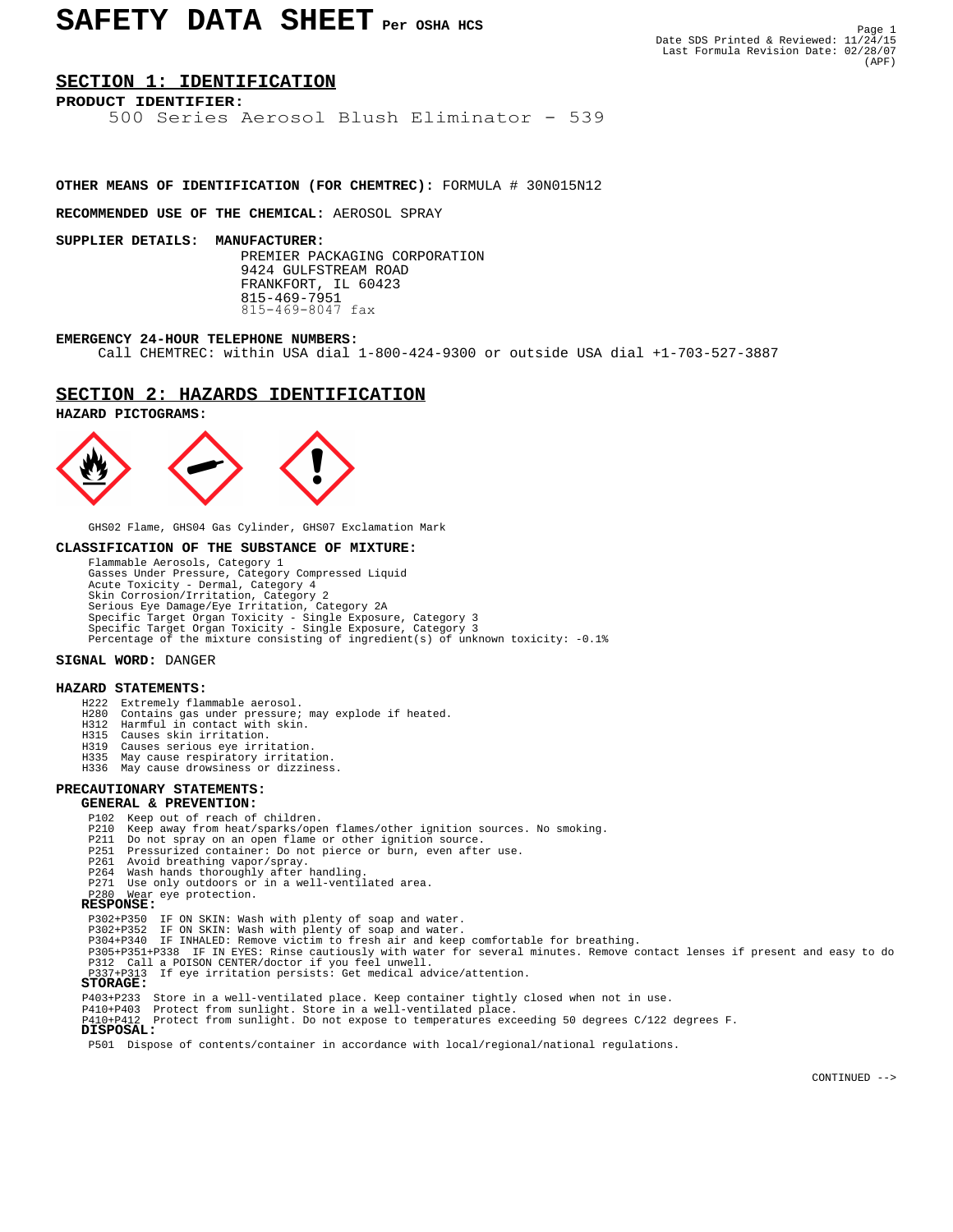# **SECTION 1: IDENTIFICATION**

# **PRODUCT IDENTIFIER:**

500 Series Aerosol Blush Eliminator - 539

# **OTHER MEANS OF IDENTIFICATION (FOR CHEMTREC):** FORMULA # 30N015N12

**RECOMMENDED USE OF THE CHEMICAL:** AEROSOL SPRAY

#### **SUPPLIER DETAILS: MANUFACTURER:**

 PREMIER PACKAGING CORPORATION 9424 GULFSTREAM ROAD FRANKFORT, IL 60423 815-469-7951 815-469-8047 fax

#### **EMERGENCY 24-HOUR TELEPHONE NUMBERS:**

Call CHEMTREC: within USA dial 1-800-424-9300 or outside USA dial +1-703-527-3887

### **SECTION 2: HAZARDS IDENTIFICATION**

#### **HAZARD PICTOGRAMS:**



GHS02 Flame, GHS04 Gas Cylinder, GHS07 Exclamation Mark

#### **CLASSIFICATION OF THE SUBSTANCE OF MIXTURE:**

 Flammable Aerosols, Category 1 Gasses Under Pressure, Category Compressed Liquid Acute Toxicity - Dermal, Category 4 Skin Corrosion/Irritation, Category 2 Serious Eye Damage/Eye Irritation, Category 2A Specific Target Organ Toxicity - Single Exposure, Category 3 Specific Target Organ Toxicity - Single Exposure, Category 3 Percentage of the mixture consisting of ingredient(s) of unknown toxicity: -0.1%

#### **SIGNAL WORD:** DANGER

#### **HAZARD STATEMENTS:**

- H222 Extremely flammable aerosol.
- H280 Contains gas under pressure; may explode if heated. H312 Harmful in contact with skin.
	-
	- H315 Causes skin irritation.
	- Causes serious eye irritation
	- H335 May cause respiratory irritation.
	- H336 May cause drowsiness or dizziness.

# **PRECAUTIONARY STATEMENTS:**

## **GENERAL & PREVENTION:**

- P102 Keep out of reach of children.
- P210 Keep away from heat/sparks/open flames/other ignition sources. No smoking.
- P211 Do not spray on an open flame or other ignition source. P251 Pressurized container: Do not pierce or burn, even after use.
	-
	-
- P261 Avoid breathing vapor/spray. P264 Wash hands thoroughly after handling. P271 Use only outdoors or in a well-ventilated area.
- P280 Wear eye protection.  **RESPONSE:**

- 
- 
- P302+P350 IF ON SKIN: Wash with plenty of soap and water. P302+P352 IF ON SKIN: Wash with plenty of soap and water. P304+P340 IF INHALED: Remove victim to fresh air and keep comfortable for breathing.
- P305+P351+P338 IF IN EYES: Rinse cautiously with water for several minutes. Remove contact lenses if present and easy to do P312 Call a POISON CENTER/doctor if you feel unwell.
	- P313 If eye irritation persists: Get medical advice/attention.  **STORAGE:**

- P403+P233 Store in a well-ventilated place. Keep container tightly closed when not in use. P410+P403 Protect from sunlight. Store in a well-ventilated place.
	-
	- P410+P412 Protect from sunlight. Do not expose to temperatures exceeding 50 degrees C/122 degrees F.  **DISPOSAL:**

P501 Dispose of contents/container in accordance with local/regional/national regulations.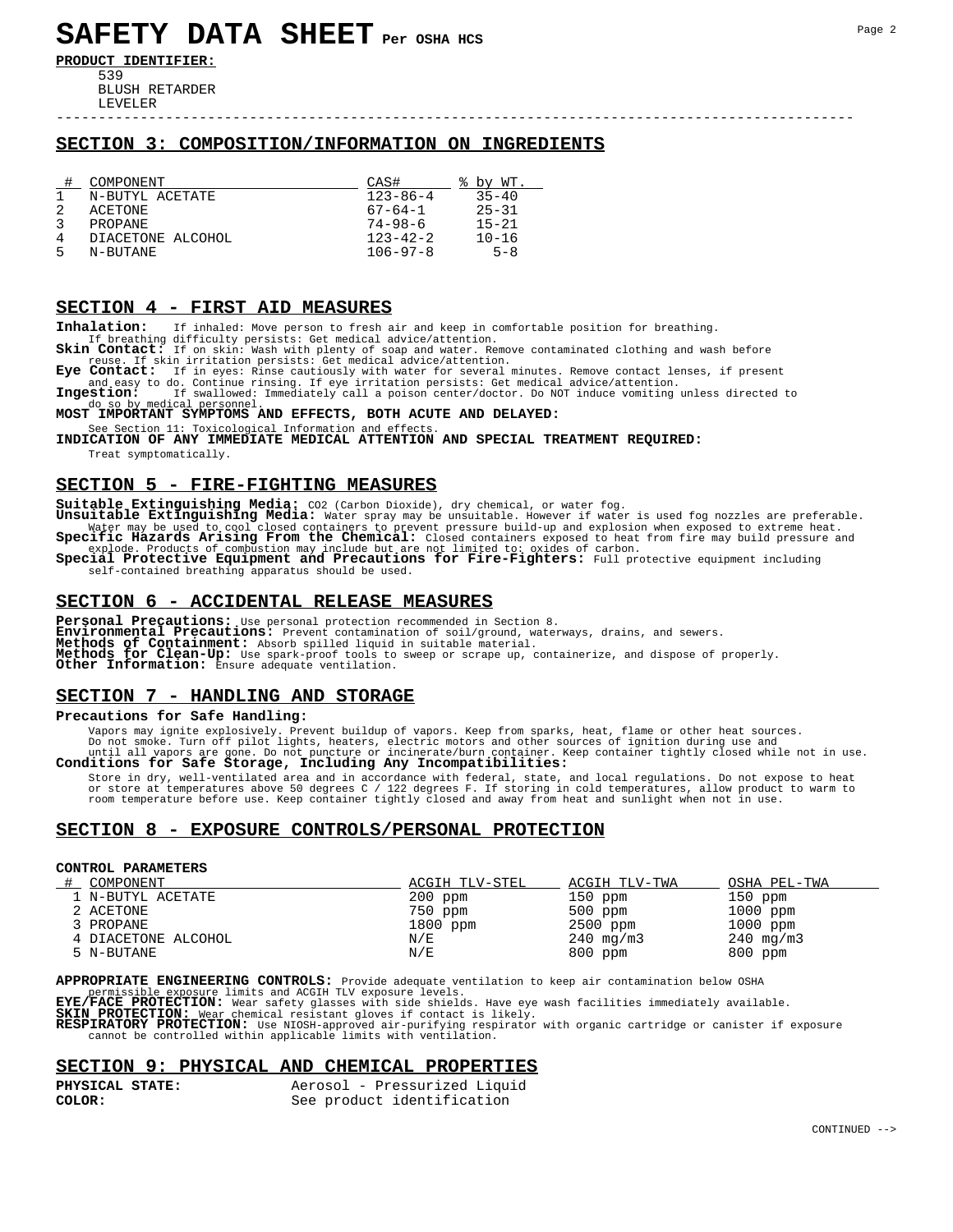**PRODUCT IDENTIFIER:** 539

> BLUSH RETARDER LEVELER

# **SECTION 3: COMPOSITION/INFORMATION ON INGREDIENTS**

|   | COMPONENT         | CAS#           | by WT     |
|---|-------------------|----------------|-----------|
|   | N-BUTYL ACETATE   | $123 - 86 - 4$ | $35 - 40$ |
|   | ACETONE           | $67 - 64 - 1$  | $25 - 31$ |
|   | PROPANE           | 74–98–6        | $15 - 21$ |
| 4 | DIACETONE ALCOHOL | $123 - 42 - 2$ | $10 - 16$ |
| 5 | N-BUTANE          | $106 - 97 - 8$ | $5 - 8$   |

#### **SECTION 4 - FIRST AID MEASURES**

**Inhalation:** If inhaled: Move person to fresh air and keep in comfortable position for breathing.

If breathing difficulty persists: Get medical advice/attention.<br>**Skin Contact:** If on skin: Wash with plenty of soap and water. Remove contaminated clothing and wash before<br>reuse. If skin irritation persists: Get medical a

Eye Contact: If in eyes: Rinse cautiously with water for several minutes. Remove contact lenses, if present<br>and easy to do. Continue rinsing. If eye irritation persists: Get medical advice/attention.<br>Ingestion: If swallowe

# do so by medical personnel.<br>**MOST IMPORTANT SYMPTOMS AND EFFECTS, BOTH ACUTE AND DELAYED:**

See Section 11: Toxicological Information and effects.<br>**INDICATION OF ANY IMMEDIATE MEDICAL ATTENTION AND SPECIAL TREATMENT REQUIRED:** Treat symptomatically.

## **SECTION 5 - FIRE-FIGHTING MEASURES**

Suitable Extinguishing Media: CO2 (Carbon Dioxide), dry chemical, or water fog.<br>Unsuitable Extinguishing Media: Water spray may be unsuitable. However if water is used fog nozzles are preferable.<br>Water may be used to cool

-----------------------------------------------------------------------------------------------

explode. Products of combustion may include but are not limited to: oxides of carbon.<br>**Special Protective Equipment and Precautions for Fire-Fighters:** Full protective equipment including self-contained breathing apparatus should be used.

### **SECTION 6 - ACCIDENTAL RELEASE MEASURES**

**Personal Precautions:** Use personal protection recommended in Section 8.<br>**Environmental Precautions:** Prevent contamination of soil/ground, waterways, drains, and sewers.<br>**Methods of Containment:** Absorb spilled liquid in **Methods for Clean-Up:** Use spark-proof tools to sweep or scrape up, containerize, and dispose of properly. **Other Information:** Ensure adequate ventilation.

# **SECTION 7 - HANDLING AND STORAGE**

### **Precautions for Safe Handling:**

Vapors may ignite explosively. Prevent buildup of vapors. Keep from sparks, heat, flame or other heat sources.<br>Do not smoot smoot on the interest electric motors and other sources of ignition during use and<br>until all vapor

Store in dry, well-ventilated area and in accordance with federal, state, and local regulations. Do not expose to heat<br>or store at temperatures above 50 degrees C / 122 degrees F. If storing in cold temperatures, allow pro room temperature before use. Keep container tightly closed and away from heat and sunlight when not in use.

# **SECTION 8 - EXPOSURE CONTROLS/PERSONAL PROTECTION**

#### **CONTROL PARAMETERS**

| COMPONENT           | ACGIH TLV-STEL | ACGIH TLV-TWA  | OSHA PEL-TWA   |
|---------------------|----------------|----------------|----------------|
| 1 N-BUTYL ACETATE   | $200$ ppm      | $150$ ppm      | $150$ ppm      |
| 2 ACETONE           | 750 ppm        | $500$ ppm      | $1000$ ppm     |
| 3 PROPANE           | 1800 ppm       | 2500 ppm       | $1000$ ppm     |
| 4 DIACETONE ALCOHOL | N/E            | $240 \,$ mg/m3 | $240 \,$ mg/m3 |
| 5 N-BUTANE          | N/E            | $800$ ppm      | $800$ ppm      |

**APPROPRIATE ENGINEERING CONTROLS:** Provide adequate ventilation to keep air contamination below OSHA

permissible exposure limits and ACGIH TLV exposure levels.<br>**EYE/FACE PROTECTION:** Wear safety glasses with side shields. Have eye wash facilities immediately available.<br>**SKIN\_PROTECTION:** Wear\_chemical resistant gloves if

**RESPIRATORY PROTECTION:** Use NIOSH-approved air-purifying respirator with organic cartridge or canister if exposure cannot be controlled within applicable limits with ventilation.

### **SECTION 9: PHYSICAL AND CHEMICAL PROPERTIES**

| PHYSICAL STATE: | Aerosol - Pressurized Liquid |
|-----------------|------------------------------|
| COLOR:          | See product identification   |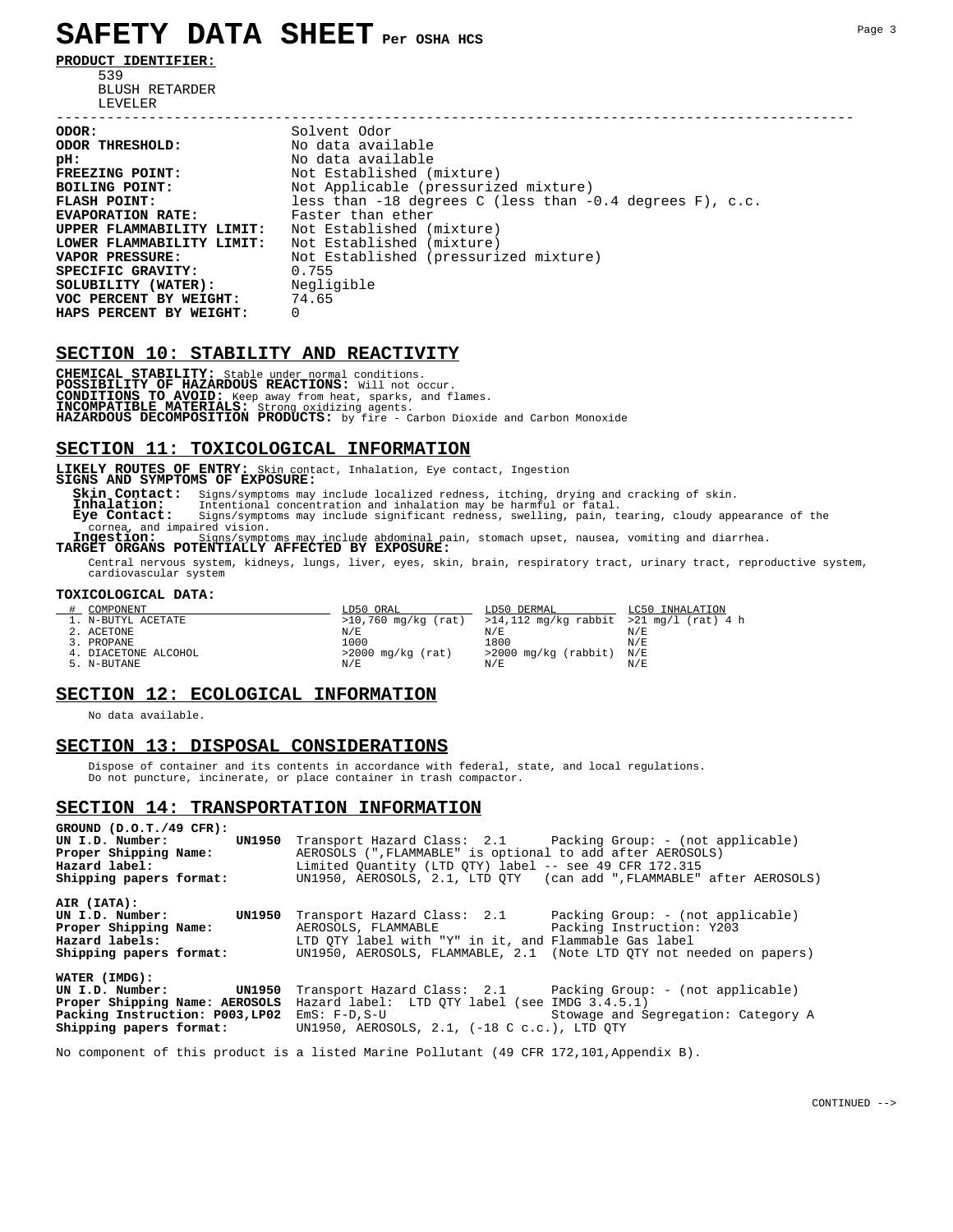# **SAFETY DATA SHEET Per OSHA HCS**

**PRODUCT IDENTIFIER:**

 539 BLUSH RETARDER LEVELER<br>------------------------------

----------------------------------------------------------------------------------------------- **ODOR:** Solvent Odor<br> **ODOR THRESHOLD:** No data avai **ODOR THRESHOLD:**  $\begin{array}{ccc} No & data & available \\ \nDR : & No & data & available \n\end{array}$ **pH:** No data available<br> **FREEZING POINT:** Not Established ( **FREEZING POINT:** Not Established (mixture) **BOILING POINT:** Not Applicable (pressurized mixture) **FLASH POINT:** less than -18 degrees C (less than -0.4 degrees F), c.c. **EVAPORATION RATE:** Faster than ether **UPPER FLAMMABILITY LIMIT:** Not Established (mixture) **LOWER FLAMMABILITY LIMIT:** Not Established (mixture)<br> **VAPOR PRESSURE:** Not Established (pressuri Not Established (pressurized mixture)<br>0.755 **SPECIFIC GRAVITY:** 0.755<br>**SOLUBILITY (WATER):** Negligible **SOLUBILITY (WATER):** Negli<br> **VOC PERCENT BY WEIGHT:** 74.65<br> **HAPS PERCENT BY WEIGHT:** 0 **VOC PERCENT BY WEIGHT:** 74.65 **HAPS PERCENT BY WEIGHT:** 0

# **SECTION 10: STABILITY AND REACTIVITY**

**CHEMICAL STABILITY:** Stable under normal conditions.<br>**POSSIBILITY OF HAZARDOUS REACTIONS:** Will not occur.<br>**CONDITIONS TO AVOID:** Keep away from heat, sparks, and flames.<br>**INCOMPATIBLE MATERIALS:** Strong oxidizing agents. **HAZARDOUS DECOMPOSITION PRODUCTS:** by fire - Carbon Dioxide and Carbon Monoxide

# **SECTION 11: TOXICOLOGICAL INFORMATION**

**LIKELY ROUTES OF ENTRY:** Skin contact, Inhalation, Eye contact, Ingestion **SIGNS AND SYMPTOMS OF EXPOSURE:**

 **Skin Contact:** Signs/symptoms may include localized redness, itching, drying and cracking of skin.  **Inhalation:** Intentional concentration and inhalation may be harmful or fatal.  **Eye Contact:** Signs/symptoms may include significant redness, swelling, pain, tearing, cloudy appearance of the cornea, and impaired vision.<br>**Ingestion:** Signs/sympto

 **Ingestion:** Signs/symptoms may include abdominal pain, stomach upset, nausea, vomiting and diarrhea. **TARGET ORGANS POTENTIALLY AFFECTED BY EXPOSURE:**

Central nervous system, kidneys, lungs, liver, eyes, skin, brain, respiratory tract, urinary tract, reproductive system,

cardiovascular system

#### **TOXICOLOGICAL DATA:**

| COMPONENT            | LD50 ORAL           | LD50 DERMAL                                 | LC50 INHALATION |
|----------------------|---------------------|---------------------------------------------|-----------------|
| 1. N-BUTYL ACETATE   | >10,760 mg/kg (rat) | $>14,112$ mg/kg rabbit $>21$ mg/l (rat) 4 h |                 |
| 2. ACETONE           | N/E                 | N/E                                         | N/E             |
| 3. PROPANE           | 1000                | 1800                                        | N/E             |
| 4. DIACETONE ALCOHOL | $>2000$ mg/kg (rat) | >2000 mg/kg (rabbit) N/E                    |                 |
| 5. N-BUTANE          |                     | N/E                                         | N/E             |

## **SECTION 12: ECOLOGICAL INFORMATION**

No data available.

#### **SECTION 13: DISPOSAL CONSIDERATIONS**

 Dispose of container and its contents in accordance with federal, state, and local regulations. Do not puncture, incinerate, or place container in trash compactor.

#### **SECTION 14: TRANSPORTATION INFORMATION**

| GROUND $(D.0.T./49$ CFR):<br>UN I.D. Number:<br>Proper Shipping Name:<br>Hazard label:<br>Shipping papers format: | <b>UN1950</b> Transport Hazard Class: 2.1 Packing Group: - (not applicable)<br>AEROSOLS (", FLAMMABLE" is optional to add after AEROSOLS)<br>Limited Ouantity (LTD OTY) label -- see 49 CFR 172.315<br>UN1950, AEROSOLS, 2.1, LTD OTY (can add ", FLAMMABLE" after AEROSOLS)                                                                      |
|-------------------------------------------------------------------------------------------------------------------|---------------------------------------------------------------------------------------------------------------------------------------------------------------------------------------------------------------------------------------------------------------------------------------------------------------------------------------------------|
| AIR (IATA):<br>UN I.D. Number:<br>Proper Shipping Name:<br>Hazard labels:<br>Shipping papers format:              | <b>UN1950</b> Transport Hazard Class: 2.1 Packing Group: - (not applicable)<br>AEROSOLS, FLAMMABLE Packing Instruction: Y203<br>LTD OTY label with "Y" in it, and Flammable Gas label<br>UN1950, AEROSOLS, FLAMMABLE, 2.1 (Note LTD OTY not needed on papers)                                                                                     |
| WATER (IMDG):<br>UN I.D. Number:                                                                                  | <b>UN1950</b> Transport Hazard Class: 2.1 Packing Group: - (not applicable)<br><b>Proper Shipping Name: AEROSOLS</b> Hazard label: LTD OTY label (see IMDG 3.4.5.1)<br>Packing Instruction: P003,LP02 EmS: F-D,S-U Stowage and Segregation: Category A<br><b>Shipping papers format:</b> UN1950, AEROSOLS, 2.1, $(-18 \text{ C } c.c.)$ , LTD OTY |

No component of this product is a listed Marine Pollutant (49 CFR 172,101,Appendix B).